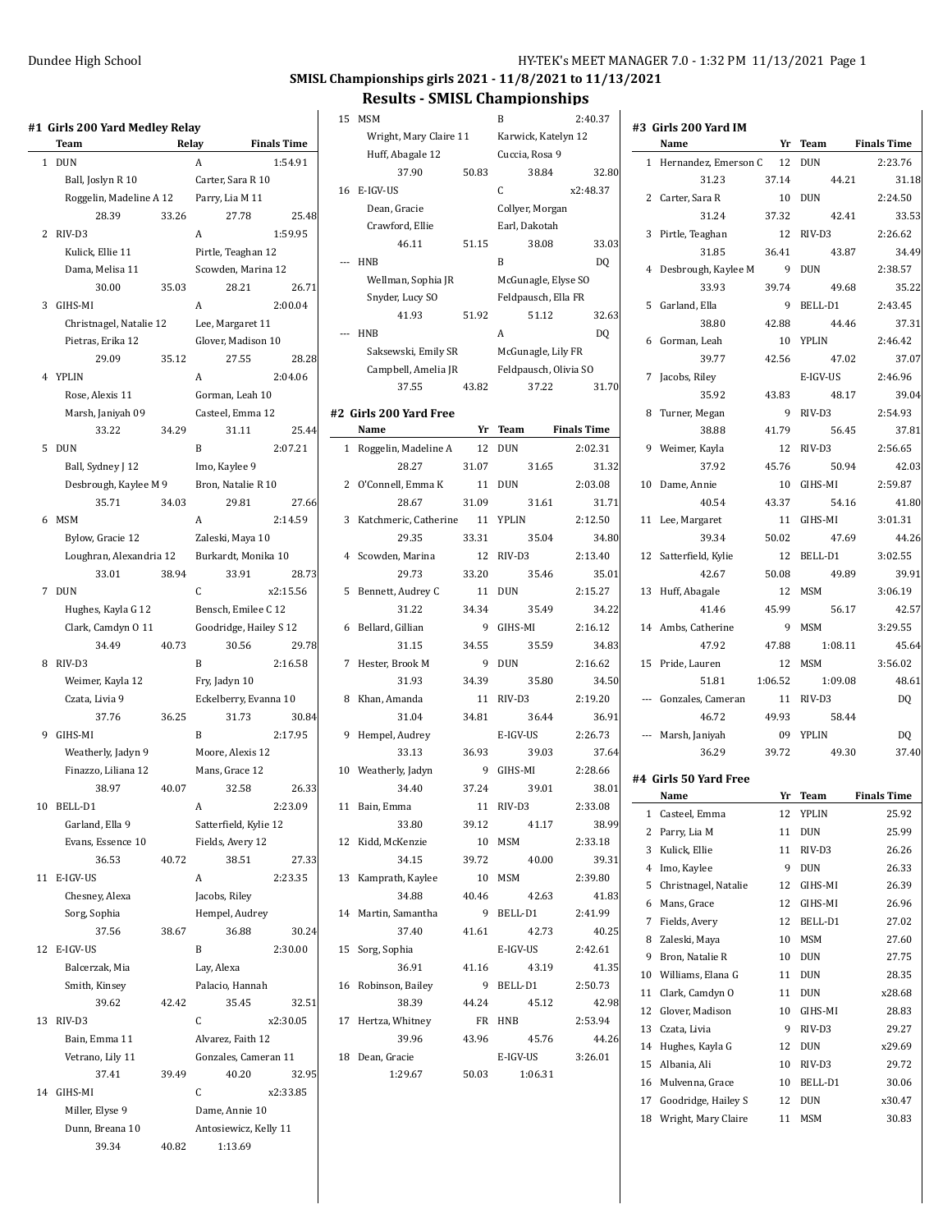#### **SMISL Championships girls 2021 - 11/8/2021 to 11/13/2021**

#### **Results - SMISL Championships**

|    | #1  Girls 200 Yard Medley Relay<br><b>Team</b> |       | Relay                  | <b>Finals Time</b> |
|----|------------------------------------------------|-------|------------------------|--------------------|
| 1  | <b>DUN</b>                                     |       | A                      | 1:54.91            |
|    | Ball, Joslyn R 10                              |       | Carter, Sara R 10      |                    |
|    | Roggelin, Madeline A 12                        |       | Parry, Lia M 11        |                    |
|    | 28.39                                          | 33.26 | 27.78                  | 25.48              |
| 2  | RIV-D3                                         |       | A                      | 1:59.95            |
|    | Kulick, Ellie 11                               |       | Pirtle, Teaghan 12     |                    |
|    | Dama, Melisa 11                                |       | Scowden, Marina 12     |                    |
|    | 30.00                                          | 35.03 | 28.21                  | 26.71              |
| 3  | GIHS-MI                                        |       | А                      | 2:00.04            |
|    | Christnagel, Natalie 12                        |       | Lee, Margaret 11       |                    |
|    | Pietras, Erika 12                              |       | Glover, Madison 10     |                    |
|    | 29.09                                          | 35.12 | 27.55                  | 28.28              |
| 4  | <b>YPLIN</b>                                   |       | A                      | 2:04.06            |
|    | Rose, Alexis 11                                |       | Gorman, Leah 10        |                    |
|    |                                                |       | Casteel, Emma 12       |                    |
|    | Marsh, Janiyah 09                              |       |                        | 25.44              |
|    | 33.22                                          | 34.29 | 31.11                  |                    |
| 5  | DUN                                            |       | B                      | 2:07.21            |
|    | Ball, Sydney J 12                              |       | Imo, Kaylee 9          |                    |
|    | Desbrough, Kaylee M 9                          |       | Bron, Natalie R 10     | 27.66              |
|    | 35.71                                          | 34.03 | 29.81                  |                    |
| 6  | <b>MSM</b>                                     |       | A                      | 2:14.59            |
|    | Bylow, Gracie 12                               |       | Zaleski, Maya 10       |                    |
|    | Loughran, Alexandria 12                        |       | Burkardt, Monika 10    |                    |
|    | 33.01                                          | 38.94 | 33.91                  | 28.73              |
| 7  | <b>DUN</b>                                     |       | C                      | x2:15.56           |
|    | Hughes, Kayla G 12                             |       | Bensch, Emilee C 12    |                    |
|    | Clark, Camdyn 0 11                             |       | Goodridge, Hailey S 12 |                    |
|    | 34.49                                          | 40.73 | 30.56                  | 29.78              |
| 8  | RIV-D3                                         |       | B                      | 2:16.58            |
|    | Weimer, Kayla 12                               |       | Fry, Jadyn 10          |                    |
|    | Czata, Livia 9                                 |       | Eckelberry, Evanna 10  |                    |
|    | 37.76                                          | 36.25 | 31.73                  | 30.84              |
| 9  | GIHS-MI                                        |       | B                      | 2:17.95            |
|    | Weatherly, Jadyn 9                             |       | Moore, Alexis 12       |                    |
|    | Finazzo, Liliana 12                            |       | Mans, Grace 12         |                    |
|    | 38.97                                          | 40.07 | 32.58                  | 26.33              |
| 10 | BELL-D1                                        |       | A                      | 2:23.09            |
|    | Garland, Ella 9                                |       | Satterfield, Kylie 12  |                    |
|    | Evans, Essence 10                              |       | Fields, Avery 12       |                    |
|    | 36.53                                          | 40.72 | 38.51                  | 27.33              |
| 11 | E-IGV-US                                       |       | A                      | 2:23.35            |
|    | Chesney, Alexa                                 |       | Jacobs, Riley          |                    |
|    | Sorg, Sophia                                   |       | Hempel, Audrey         |                    |
|    | 37.56                                          | 38.67 | 36.88                  | 30.24              |
| 12 | E-IGV-US                                       |       | B                      | 2:30.00            |
|    | Balcerzak, Mia                                 |       | Lay, Alexa             |                    |
|    | Smith, Kinsey                                  |       | Palacio, Hannah        |                    |
|    | 39.62                                          | 42.42 | 35.45                  | 32.51              |
| 13 | RIV-D3                                         |       | $\mathsf{C}$           | x2:30.05           |
|    | Bain, Emma 11                                  |       | Alvarez, Faith 12      |                    |
|    | Vetrano, Lily 11                               |       | Gonzales, Cameran 11   |                    |
|    | 37.41                                          | 39.49 | 40.20                  | 32.95              |
| 14 | GIHS-MI                                        |       | C                      | x2:33.85           |
|    | Miller, Elyse 9                                |       | Dame, Annie 10         |                    |
|    | Dunn, Breana 10                                |       | Antosiewicz, Kelly 11  |                    |
|    | 39.34                                          | 40.82 | 1:13.69                |                    |
|    |                                                |       |                        |                    |

|                          | RESUILS - SPILSL CHAMPIONSHIPS |       |                       |                    |
|--------------------------|--------------------------------|-------|-----------------------|--------------------|
| 15                       | MSM                            |       | B                     | 2:40.37            |
|                          | Wright, Mary Claire 11         |       | Karwick, Katelyn 12   |                    |
|                          | Huff, Abagale 12               |       | Cuccia, Rosa 9        |                    |
|                          | 37.90                          | 50.83 | 38.84                 | 32.80              |
| 16                       | E-IGV-US                       |       | C                     | x2:48.37           |
|                          | Dean, Gracie                   |       | Collyer, Morgan       |                    |
|                          | Crawford, Ellie                |       | Earl, Dakotah         |                    |
|                          | 46.11                          | 51.15 | 38.08                 | 33.03              |
|                          | <b>HNB</b>                     |       | B                     | DQ                 |
|                          | Wellman, Sophia JR             |       | McGunagle, Elyse SO   |                    |
|                          | Snyder, Lucy SO                |       | Feldpausch, Ella FR   |                    |
|                          | 41.93                          | 51.92 | 51.12                 | 32.63              |
| $\overline{\phantom{a}}$ | <b>HNB</b>                     |       | A                     | DQ                 |
|                          | Saksewski, Emily SR            |       |                       |                    |
|                          |                                |       | McGunagle, Lily FR    |                    |
|                          | Campbell, Amelia JR<br>37.55   |       | Feldpausch, Olivia SO |                    |
|                          |                                | 43.82 | 37.22                 | 31.70              |
|                          | #2 Girls 200 Yard Free         |       |                       |                    |
|                          | Name                           | Yr    | <b>Team</b>           | <b>Finals Time</b> |
| 1                        | Roggelin, Madeline A           | 12    | <b>DUN</b>            | 2:02.31            |
|                          | 28.27                          | 31.07 | 31.65                 | 31.32              |
| 2                        | O'Connell, Emma K              | 11    | <b>DUN</b>            | 2:03.08            |
|                          | 28.67                          | 31.09 | 31.61                 | 31.71              |
| 3                        | Katchmeric, Catherine 11       |       | YPLIN                 | 2:12.50            |
|                          | 29.35                          | 33.31 | 35.04                 | 34.80              |
| 4                        | Scowden, Marina                | 12    | RIV-D3                | 2:13.40            |
|                          | 29.73                          | 33.20 | 35.46                 | 35.01              |
| 5                        | Bennett, Audrey C              | 11    | <b>DUN</b>            | 2:15.27            |
|                          | 31.22                          | 34.34 | 35.49                 | 34.22              |
| 6                        | Bellard, Gillian               | 9     | GIHS-MI               | 2:16.12            |
|                          | 31.15                          | 34.55 | 35.59                 | 34.83              |
| 7                        | Hester, Brook M                | 9     | <b>DUN</b>            | 2:16.62            |
|                          | 31.93                          | 34.39 | 35.80                 | 34.50              |
| 8                        | Khan, Amanda                   | 11    | RIV-D3                | 2:19.20            |
|                          | 31.04                          | 34.81 | 36.44                 | 36.91              |
| 9                        | Hempel, Audrey                 |       | E-IGV-US              | 2:26.73            |
|                          | 33.13                          | 36.93 | 39.03                 | 37.64              |
| 10                       | Weatherly, Jadyn               | 9     | GIHS-MI               | 2:28.66            |
|                          | 34.40                          | 37.24 | 39.01                 | 38.01              |
|                          | 11 Bain, Emma                  | 11    | RIV-D3                | 2:33.08            |
|                          | 33.80                          | 39.12 | 41.17                 | 38.99              |
|                          | 12 Kidd, McKenzie              | 10    | <b>MSM</b>            | 2:33.18            |
|                          | 34.15                          | 39.72 | 40.00                 | 39.31              |
|                          |                                | 10    | MSM                   | 2:39.80            |
|                          | 13 Kamprath, Kaylee<br>34.88   | 40.46 | 42.63                 | 41.83              |
|                          |                                |       |                       |                    |
|                          | 14 Martin, Samantha            |       | 9 BELL-D1             | 2:41.99            |
|                          | 37.40                          | 41.61 | 42.73                 | 40.25              |
|                          | 15 Sorg, Sophia                |       | E-IGV-US              | 2:42.61            |
|                          | 36.91                          | 41.16 | 43.19                 | 41.35              |
|                          | 16 Robinson, Bailey            | 9     | BELL-D1               | 2:50.73            |
|                          | 38.39                          | 44.24 | 45.12                 | 42.98              |
|                          | 17 Hertza, Whitney             |       | FR HNB                | 2:53.94            |
|                          | 39.96                          | 43.96 | 45.76                 | 44.26              |
| 18                       | Dean, Gracie                   |       | E-IGV-US              | 3:26.01            |
|                          | 1:29.67                        | 50.03 | 1:06.31               |                    |
|                          |                                |       |                       |                    |
|                          |                                |       |                       |                    |

|    | #3 Girls 200 Yard IM<br>Name  |         |            | <b>Same Strategier Principle Principle Principle Principle Principle Principle Principle Principle Principle Principle Principle Principle Principle Principle Principle Principle Principle Principle Principle Principle Princ</b> |
|----|-------------------------------|---------|------------|--------------------------------------------------------------------------------------------------------------------------------------------------------------------------------------------------------------------------------------|
|    | 1 Hernandez, Emerson C 12     |         | <b>DUN</b> | 2:23.76                                                                                                                                                                                                                              |
|    | 31.23                         | 37.14   | 44.21      | 31.18                                                                                                                                                                                                                                |
|    | 2 Carter, Sara R              |         | 10 DUN     | 2:24.50                                                                                                                                                                                                                              |
|    | 31.24                         | 37.32   | 42.41      | 33.53                                                                                                                                                                                                                                |
|    | 3 Pirtle, Teaghan             |         | 12 RIV-D3  | 2:26.62                                                                                                                                                                                                                              |
|    | 31.85                         | 36.41   | 43.87      | 34.49                                                                                                                                                                                                                                |
|    | 4 Desbrough, Kaylee M 9       |         | <b>DUN</b> | 2:38.57                                                                                                                                                                                                                              |
|    | 33.93                         | 39.74   | 49.68      | 35.22                                                                                                                                                                                                                                |
|    | 5 Garland, Ella               |         | 9 BELL-D1  | 2:43.45                                                                                                                                                                                                                              |
|    | 38.80                         | 42.88   | 44.46      | 37.31                                                                                                                                                                                                                                |
|    | 6 Gorman, Leah                |         | 10 YPLIN   | 2:46.42                                                                                                                                                                                                                              |
|    | 39.77                         | 42.56   | 47.02      | 37.07                                                                                                                                                                                                                                |
| 7  | Jacobs, Riley                 |         | E-IGV-US   | 2:46.96                                                                                                                                                                                                                              |
|    | 35.92                         | 43.83   | 48.17      | 39.04                                                                                                                                                                                                                                |
| 8  | Turner, Megan                 |         | 9 RIV-D3   | 2:54.93                                                                                                                                                                                                                              |
|    | 38.88                         | 41.79   | 56.45      | 37.81                                                                                                                                                                                                                                |
|    | 9 Weimer, Kayla               |         | 12 RIV-D3  | 2:56.65                                                                                                                                                                                                                              |
|    | 37.92                         | 45.76   | 50.94      | 42.03                                                                                                                                                                                                                                |
| 10 | Dame, Annie                   |         | 10 GIHS-MI | 2:59.87                                                                                                                                                                                                                              |
|    | 40.54                         | 43.37   | 54.16      | 41.80                                                                                                                                                                                                                                |
|    | 11 Lee, Margaret              |         | 11 GIHS-MI | 3:01.31                                                                                                                                                                                                                              |
|    | 39.34                         | 50.02   | 47.69      | 44.26                                                                                                                                                                                                                                |
|    | 12 Satterfield, Kylie         |         | 12 BELL-D1 | 3:02.55                                                                                                                                                                                                                              |
|    | 42.67                         | 50.08   | 49.89      | 39.91                                                                                                                                                                                                                                |
|    | 13 Huff, Abagale              |         | 12 MSM     | 3:06.19                                                                                                                                                                                                                              |
|    | 41.46                         | 45.99   | 56.17      | 42.57                                                                                                                                                                                                                                |
|    | 14 Ambs, Catherine            |         | 9 MSM      | 3:29.55                                                                                                                                                                                                                              |
|    | 47.92                         | 47.88   | 1:08.11    | 45.64                                                                                                                                                                                                                                |
|    | 15 Pride, Lauren              |         | 12 MSM     | 3:56.02                                                                                                                                                                                                                              |
|    | 51.81                         | 1:06.52 | 1:09.08    | 48.61                                                                                                                                                                                                                                |
|    | --- Gonzales, Cameran         |         | 11 RIV-D3  | DQ.                                                                                                                                                                                                                                  |
|    | 46.72                         | 49.93   | 58.44      |                                                                                                                                                                                                                                      |
|    | --- Marsh, Janiyah            |         | 09 YPLIN   | <b>DQ</b>                                                                                                                                                                                                                            |
|    | 36.29                         | 39.72   | 49.30      | 37.40                                                                                                                                                                                                                                |
|    |                               |         |            |                                                                                                                                                                                                                                      |
|    | #4 Girls 50 Yard Free<br>Name |         |            | Yr Team Finals Time                                                                                                                                                                                                                  |
| 1  | Casteel, Emma                 |         | 12 YPLIN   | 25.92                                                                                                                                                                                                                                |
| 2  | Parry, Lia M                  | 11      | <b>DUN</b> | 25.99                                                                                                                                                                                                                                |
| 3  | Kulick, Ellie                 | 11      | RIV-D3     | 26.26                                                                                                                                                                                                                                |
| 4  | Imo, Kaylee                   | 9       | DUN        | 26.33                                                                                                                                                                                                                                |
| 5  | Christnagel, Natalie          | 12      | GIHS-MI    | 26.39                                                                                                                                                                                                                                |
| 6  | Mans, Grace                   | 12      | GIHS-MI    | 26.96                                                                                                                                                                                                                                |
| 7  | Fields, Avery                 | 12      | BELL-D1    | 27.02                                                                                                                                                                                                                                |
| 8  | Zaleski, Maya                 | 10      | MSM        | 27.60                                                                                                                                                                                                                                |
| 9  | Bron, Natalie R               | 10      | DUN        | 27.75                                                                                                                                                                                                                                |
| 10 | Williams, Elana G             | 11      | DUN        | 28.35                                                                                                                                                                                                                                |
| 11 | Clark, Camdyn O               | 11      | DUN        | x28.68                                                                                                                                                                                                                               |
| 12 | Glover, Madison               | 10      | GIHS-MI    | 28.83                                                                                                                                                                                                                                |
| 13 | Czata, Livia                  | 9       | RIV-D3     | 29.27                                                                                                                                                                                                                                |
| 14 | Hughes, Kayla G               | 12      | DUN        | x29.69                                                                                                                                                                                                                               |
| 15 | Albania, Ali                  | 10      | RIV-D3     | 29.72                                                                                                                                                                                                                                |
| 16 | Mulvenna, Grace               | 10      | BELL-D1    | 30.06                                                                                                                                                                                                                                |
| 17 | Goodridge, Hailey S           | 12      | DUN        | x30.47                                                                                                                                                                                                                               |
| 18 | Wright, Mary Claire           | 11      | MSM        | 30.83                                                                                                                                                                                                                                |
|    |                               |         |            |                                                                                                                                                                                                                                      |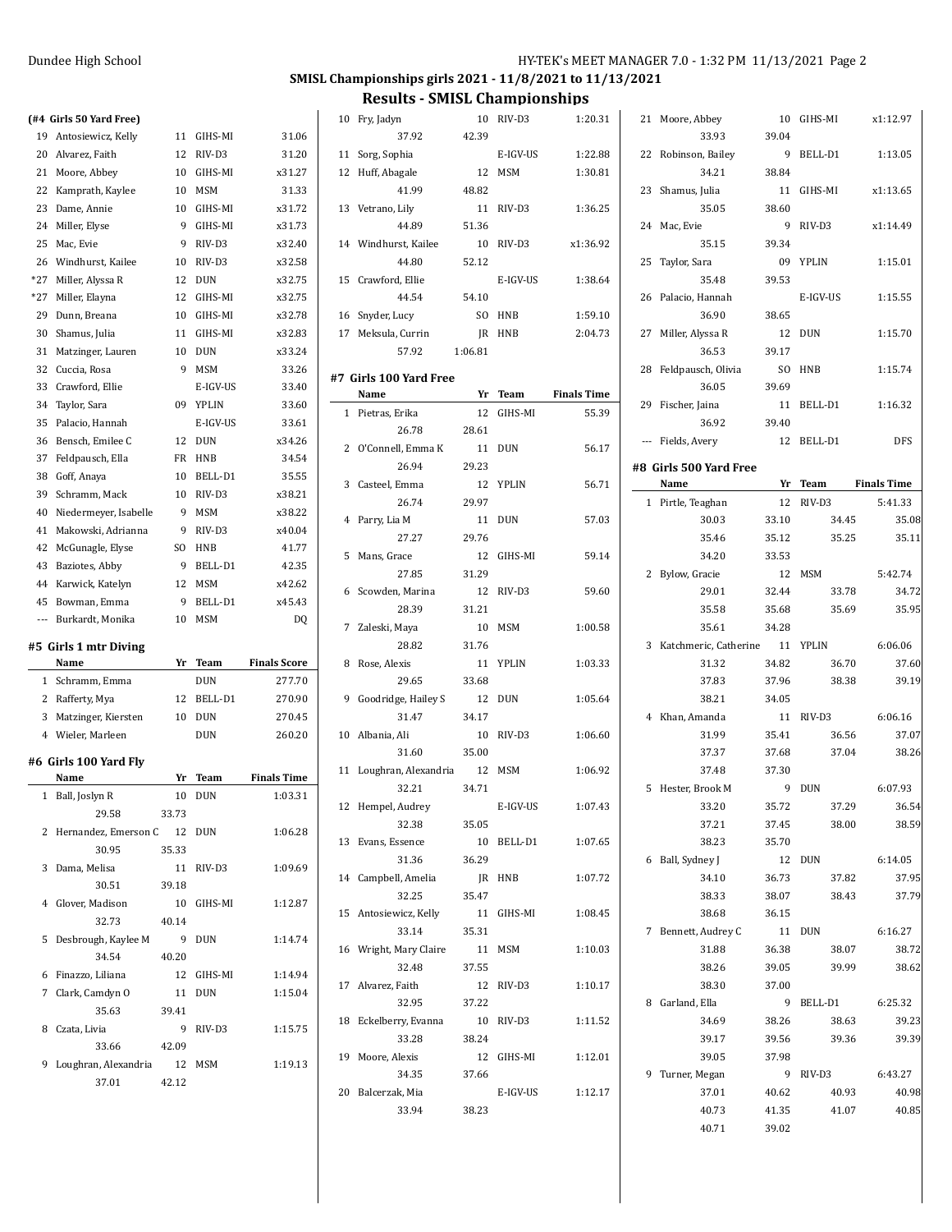$\overline{\phantom{a}}$ 

## **SMISL Championships girls 2021 - 11/8/2021 to 11/13/2021**

**Results - SMISL Championships**

#### **(#4 Girls 50 Yard Free)**

| 19           | Antosiewicz, Kelly            | 11          | GIHS-MI    | 31.06               |
|--------------|-------------------------------|-------------|------------|---------------------|
| 20           | Alvarez, Faith                | 12          | RIV-D3     | 31.20               |
| 21           | Moore, Abbey                  | 10          | GIHS-MI    | x31.27              |
| 22           | Kamprath, Kaylee              | 10          | <b>MSM</b> | 31.33               |
| 23           | Dame, Annie                   | 10          | GIHS-MI    | x31.72              |
| 24           | Miller, Elyse                 | 9           | GIHS-MI    | x31.73              |
| 25           | Mac, Evie                     | 9           | RIV-D3     | x32.40              |
| 26           | Windhurst, Kailee             | 10          | RIV-D3     | x32.58              |
| $*27$        | Miller, Alyssa R              | 12          | <b>DUN</b> | x32.75              |
| $*27$        | Miller, Elayna                | 12          | GIHS-MI    | x32.75              |
| 29           | Dunn, Breana                  | 10          | GIHS-MI    | x32.78              |
| 30           | Shamus, Julia                 | 11          | GIHS-MI    | x32.83              |
| 31           | Matzinger, Lauren             | 10          | DUN        | x33.24              |
| 32           | Cuccia, Rosa                  | 9           | MSM        | 33.26               |
| 33           | Crawford, Ellie               |             | E-IGV-US   | 33.40               |
| 34           | Taylor, Sara                  | 09          | YPLIN      | 33.60               |
| 35           | Palacio, Hannah               |             | E-IGV-US   | 33.61               |
| 36           | Bensch, Emilee C              | 12          | <b>DUN</b> | x34.26              |
| 37           | Feldpausch, Ella              | FR          | HNB        | 34.54               |
| 38           | Goff, Anaya                   | 10          | BELL-D1    | 35.55               |
| 39           | Schramm, Mack                 | 10          | RIV-D3     | x38.21              |
| 40           | Niedermeyer, Isabelle         | 9           | MSM        | x38.22              |
| 41           | Makowski, Adrianna            | 9           | RIV-D3     | x40.04              |
| 42           | McGunagle, Elyse              | SO          | HNB        | 41.77               |
| 43           | Baziotes, Abby                | 9           | BELL-D1    | 42.35               |
| 44           | Karwick, Katelyn              | 12          | MSM        | x42.62              |
|              |                               |             |            |                     |
|              |                               |             |            |                     |
| 45           | Bowman, Emma                  | 9           | BELL-D1    | x45.43              |
|              | --- Burkardt, Monika          | 10          | MSM        | DQ                  |
|              | #5 Girls 1 mtr Diving         |             |            |                     |
|              | Name                          | Yr          | Team       | <b>Finals Score</b> |
| $\mathbf{1}$ | Schramm, Emma                 |             | DUN        | 277.70              |
|              | 2 Rafferty, Mya               | 12          | BELL-D1    | 270.90              |
| 3            | Matzinger, Kiersten           | 10          | DUN        | 270.45              |
| $4^{\circ}$  | Wieler, Marleen               |             | DUN        | 260.20              |
|              |                               |             |            |                     |
|              | #6 Girls 100 Yard Fly<br>Name | Yr          | Team       | <b>Finals Time</b>  |
| 1            |                               | 10          | <b>DUN</b> | 1:03.31             |
|              | Ball, Joslyn R                |             |            |                     |
|              | 29.58                         | 33.73       |            |                     |
| 2            | Hernandez, Emerson C 12       |             | <b>DUN</b> | 1:06.28             |
|              | 30.95                         | 35.33       |            |                     |
| 3            | Dama, Melisa                  |             | 11 RIV-D3  | 1:09.69             |
|              | 30.51                         | 39.18       |            |                     |
| 4            | Glover, Madison               | 10          | GIHS-MI    | 1:12.87             |
|              | 32.73                         | 40.14       |            |                     |
| 5            | Desbrough, Kaylee M           | 9           | DUN        | 1:14.74             |
|              | 34.54                         | 40.20       |            |                     |
| 6            | Finazzo, Liliana              | 12          | GIHS-MI    | 1:14.94             |
| 7            | Clark, Camdyn O               | 11          | DUN        | 1:15.04             |
|              | 35.63                         | 39.41       |            |                     |
| 8            | Czata, Livia                  | 9           | RIV-D3     | 1:15.75             |
|              | 33.66                         | 42.09       |            |                     |
| 9            | Loughran, Alexandria<br>37.01 | 12<br>42.12 | MSM        | 1:19.13             |

| 10 | Fry, Jadyn                    | 10      | RIV-D3     | 1:20.31            |
|----|-------------------------------|---------|------------|--------------------|
|    | 37.92                         | 42.39   |            |                    |
| 11 | Sorg, Sophia                  |         | E-IGV-US   | 1:22.88            |
|    |                               | 12      |            |                    |
|    | 12 Huff, Abagale              |         | <b>MSM</b> | 1:30.81            |
|    | 41.99                         | 48.82   |            |                    |
| 13 | Vetrano, Lily                 | 11      | RIV-D3     | 1:36.25            |
|    | 44.89                         | 51.36   |            |                    |
|    | 14 Windhurst, Kailee          | 10      | RIV-D3     | x1:36.92           |
|    | 44.80                         | 52.12   |            |                    |
| 15 |                               |         | E-IGV-US   | 1:38.64            |
|    | Crawford, Ellie               |         |            |                    |
|    | 44.54                         | 54.10   |            |                    |
| 16 | Snyder, Lucy                  | SO      | HNB        | 1:59.10            |
|    | 17 Meksula, Currin            | JR      | HNB        | 2:04.73            |
|    | 57.92                         | 1:06.81 |            |                    |
|    |                               |         |            |                    |
|    | #7 Girls 100 Yard Free        |         |            |                    |
|    | Name                          | Yr      | Team       | <b>Finals Time</b> |
| 1  | Pietras, Erika                | 12      | GIHS-MI    | 55.39              |
|    | 26.78                         | 28.61   |            |                    |
| 2  | O'Connell, Emma K             | 11      | <b>DUN</b> | 56.17              |
|    |                               |         |            |                    |
|    | 26.94                         | 29.23   |            |                    |
| 3  | Casteel, Emma                 | 12      | YPLIN      | 56.71              |
|    | 26.74                         | 29.97   |            |                    |
| 4  | Parry, Lia M                  | 11      | <b>DUN</b> | 57.03              |
|    | 27.27                         | 29.76   |            |                    |
| 5  | Mans, Grace                   | 12      | GIHS-MI    | 59.14              |
|    |                               |         |            |                    |
|    | 27.85                         | 31.29   |            |                    |
| 6  | Scowden, Marina               | 12      | RIV-D3     | 59.60              |
|    | 28.39                         | 31.21   |            |                    |
| 7  | Zaleski, Maya                 | 10      | MSM        | 1:00.58            |
|    | 28.82                         | 31.76   |            |                    |
| 8  | Rose, Alexis                  | 11      | YPLIN      | 1:03.33            |
|    | 29.65                         |         |            |                    |
|    |                               | 33.68   |            |                    |
| 9  | Goodridge, Hailey S           | 12      | <b>DUN</b> | 1:05.64            |
|    | 31.47                         | 34.17   |            |                    |
| 10 | Albania, Ali                  | 10      | RIV-D3     | 1:06.60            |
|    | 31.60                         | 35.00   |            |                    |
| 11 | Loughran, Alexandria 12       |         | <b>MSM</b> | 1:06.92            |
|    | 32.21                         | 34.71   |            |                    |
|    |                               |         |            |                    |
| 12 | Hempel, Audrey                |         | E-IGV-US   | 1:07.43            |
|    | 32.38                         | 35.05   |            |                    |
|    | 13 Evans, Essence             |         | 10 BELL-D1 | 1:07.65            |
|    | 31.36                         | 36.29   |            |                    |
|    | 14 Campbell, Amelia           |         | JR HNB     | 1:07.72            |
|    | 32.25                         | 35.47   |            |                    |
|    |                               |         |            |                    |
|    | 15 Antosiewicz, Kelly         |         | 11 GIHS-MI | 1:08.45            |
|    | 33.14                         | 35.31   |            |                    |
|    | 16 Wright, Mary Claire 11 MSM |         |            | 1:10.03            |
|    | 32.48                         | 37.55   |            |                    |
|    | 17 Alvarez, Faith             |         | 12 RIV-D3  | 1:10.17            |
|    | 32.95                         | 37.22   |            |                    |
|    |                               |         |            |                    |
|    | 18 Eckelberry, Evanna         |         | 10 RIV-D3  | 1:11.52            |
|    | 33.28                         | 38.24   |            |                    |
|    | 19 Moore, Alexis              |         | 12 GIHS-MI | 1:12.01            |
|    | 34.35                         | 37.66   |            |                    |
|    | 20 Balcerzak, Mia             |         | E-IGV-US   | 1:12.17            |
|    | 33.94                         | 38.23   |            |                    |
|    |                               |         |            |                    |
|    |                               |         |            |                    |
|    |                               |         |            |                    |

| 21             | Moore, Abbey            | 10    | GIHS-MI      | x1:12.97           |
|----------------|-------------------------|-------|--------------|--------------------|
|                | 33.93                   | 39.04 |              |                    |
| 22             | Robinson, Bailey        | 9     | BELL-D1      | 1:13.05            |
|                | 34.21                   | 38.84 |              |                    |
| 23             | Shamus, Julia           | 11    | GIHS-MI      | x1:13.65           |
|                | 35.05                   | 38.60 |              |                    |
| 24             | Mac, Evie               | 9     | RIV-D3       | x1:14.49           |
|                | 35.15                   | 39.34 |              |                    |
| 25             | Taylor, Sara            | 09    | <b>YPLIN</b> | 1:15.01            |
|                | 35.48                   | 39.53 |              |                    |
|                | 26 Palacio, Hannah      |       | E-IGV-US     | 1:15.55            |
|                | 36.90                   | 38.65 |              |                    |
| 27             | Miller, Alyssa R        |       | 12 DUN       | 1:15.70            |
|                | 36.53                   | 39.17 |              |                    |
| 28             | Feldpausch, Olivia      | SO.   | HNB          | 1:15.74            |
|                | 36.05                   | 39.69 |              |                    |
|                | 29 Fischer, Jaina       | 11    | BELL-D1      | 1:16.32            |
|                | 36.92                   | 39.40 |              |                    |
|                | --- Fields, Avery       | 12    | BELL-D1      | <b>DFS</b>         |
|                | #8  Girls 500 Yard Free |       |              |                    |
|                | Name                    | Yr    | Team         | <b>Finals Time</b> |
|                | 1 Pirtle, Teaghan       |       | 12 RIV-D3    | 5:41.33            |
|                | 30.03                   | 33.10 | 34.45        | 35.08              |
|                | 35.46                   | 35.12 | 35.25        | 35.11              |
|                | 34.20                   | 33.53 |              |                    |
| $\overline{2}$ | Bylow, Gracie           | 12    | MSM          | 5:42.74            |
|                | 29.01                   | 32.44 | 33.78        | 34.72              |
|                | 35.58                   | 35.68 | 35.69        | 35.95              |
|                | 35.61                   | 34.28 |              |                    |
|                | 3 Katchmeric, Catherine | 11    | YPLIN        | 6:06.06            |
|                | 31.32                   | 34.82 | 36.70        | 37.60              |
|                | 37.83                   | 37.96 | 38.38        | 39.19              |
|                | 38.21                   | 34.05 |              |                    |
|                | 4 Khan, Amanda          |       | 11 RIV-D3    | 6:06.16            |
|                | 31.99                   | 35.41 | 36.56        | 37.07              |
|                | 37.37                   | 37.68 | 37.04        | 38.26              |
|                | 37.48                   | 37.30 |              |                    |
| 5              | Hester, Brook M         | 9     | <b>DUN</b>   | 6:07.93            |
|                | 33.20                   | 35.72 | 37.29        | 36.54              |
|                | 37.21                   | 37.45 | 38.00        | 38.59              |
|                | 38.23                   | 35.70 |              |                    |
|                | 6 Ball, Sydney J        | 12    | <b>DUN</b>   | 6:14.05            |
|                | 34.10                   | 36.73 | 37.82        | 37.95              |
|                | 38.33                   | 38.07 | 38.43        | 37.79              |
|                | 38.68                   | 36.15 |              |                    |
|                | 7 Bennett, Audrey C     |       | 11 DUN       | 6:16.27            |
|                | 31.88                   | 36.38 | 38.07        | 38.72              |
|                | 38.26                   | 39.05 | 39.99        | 38.62              |
|                | 38.30                   | 37.00 |              |                    |
|                | 8 Garland, Ella         | 9     | BELL-D1      | 6:25.32            |
|                | 34.69                   | 38.26 | 38.63        | 39.23              |
|                | 39.17                   | 39.56 | 39.36        | 39.39              |
|                | 39.05                   | 37.98 |              |                    |
| 9              | Turner, Megan           | 9     | RIV-D3       | 6:43.27            |
|                | 37.01                   | 40.62 | 40.93        | 40.98              |
|                | 40.73                   | 41.35 | 41.07        | 40.85              |
|                | 40.71                   | 39.02 |              |                    |
|                |                         |       |              |                    |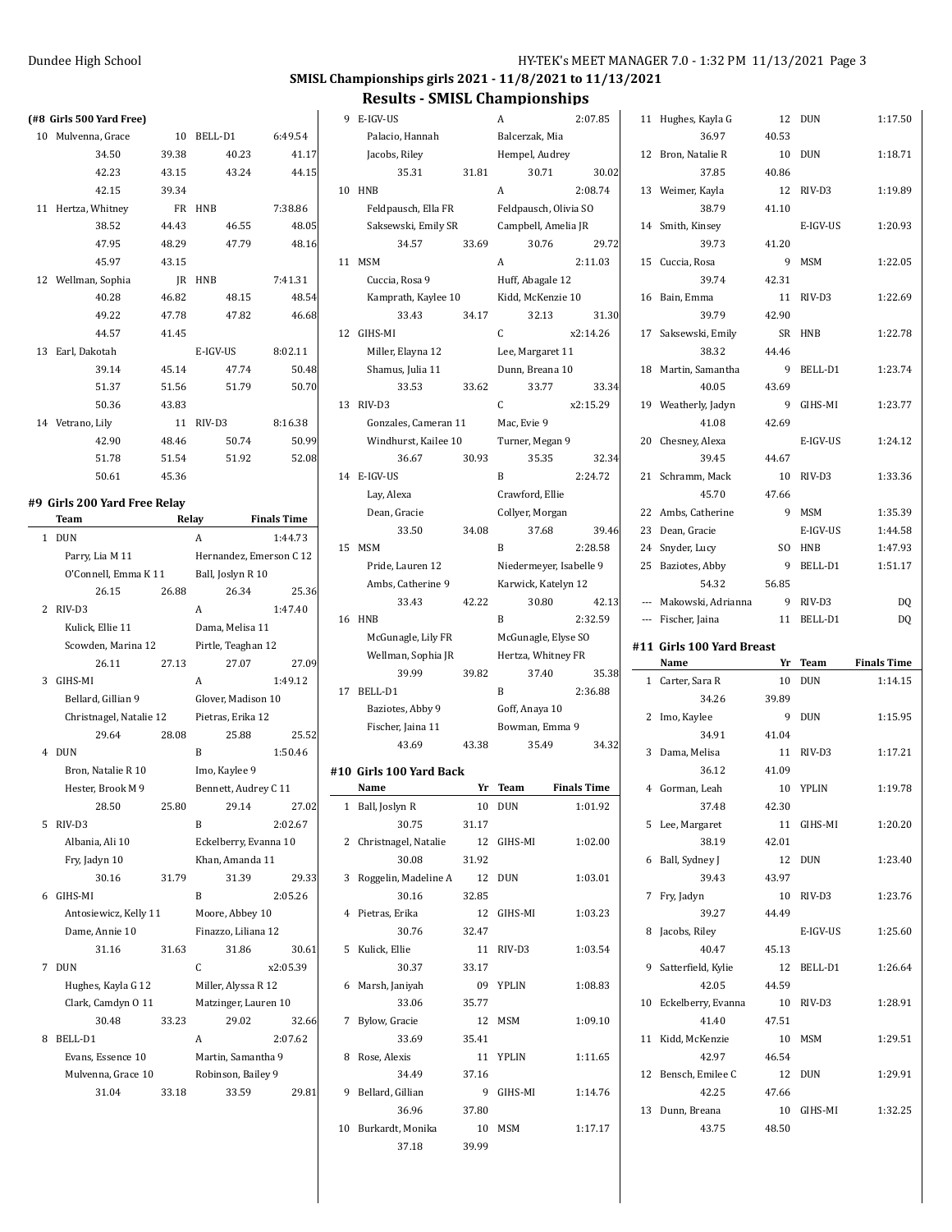### **SMISL Championships girls 2021 - 11/8/2021 to 11/13/2021**

### **Results - SMISL Championships**

|              | (#8 Girls 500 Yard Free)                  |       |                         |                    |
|--------------|-------------------------------------------|-------|-------------------------|--------------------|
|              | 10 Mulvenna, Grace                        |       | 10 BELL-D1              | 6:49.54            |
|              | 34.50                                     | 39.38 | 40.23                   | 41.17              |
|              | 42.23                                     | 43.15 | 43.24                   | 44.15              |
|              | 42.15                                     | 39.34 |                         |                    |
|              | 11 Hertza, Whitney                        |       | FR HNB                  | 7:38.86            |
|              | 38.52                                     | 44.43 | 46.55                   | 48.05              |
|              | 47.95                                     | 48.29 | 47.79                   | 48.16              |
|              | 45.97                                     | 43.15 |                         |                    |
|              | 12 Wellman, Sophia                        |       | JR HNB                  | 7:41.31            |
|              | 40.28                                     | 46.82 | 48.15                   | 48.54              |
|              | 49.22                                     | 47.78 | 47.82                   | 46.68              |
|              | 44.57                                     | 41.45 |                         |                    |
|              | 13 Earl, Dakotah                          |       | E-IGV-US                | 8:02.11            |
|              | 39.14                                     | 45.14 | 47.74                   | 50.48              |
|              | 51.37                                     | 51.56 | 51.79                   | 50.70              |
|              | 50.36                                     |       |                         |                    |
|              | 14 Vetrano, Lily                          | 43.83 | 11 RIV-D3               |                    |
|              |                                           |       |                         | 8:16.38            |
|              | 42.90                                     | 48.46 | 50.74                   | 50.99              |
|              | 51.78                                     | 51.54 | 51.92                   | 52.08              |
|              | 50.61                                     | 45.36 |                         |                    |
|              | #9  Girls 200 Yard Free Relay             |       |                         |                    |
|              | Team                                      |       | Relay                   | <b>Finals Time</b> |
| $\mathbf{1}$ | <b>DUN</b>                                |       | A                       | 1:44.73            |
|              | Parry, Lia M 11                           |       | Hernandez, Emerson C 12 |                    |
|              | O'Connell, Emma K 11 Ball, Joslyn R 10    |       |                         |                    |
|              | 26.15                                     | 26.88 | 26.34                   | 25.36              |
| 2            | RIV-D3                                    |       | A                       | 1:47.40            |
|              | Kulick, Ellie 11                          |       | Dama, Melisa 11         |                    |
|              | Scowden, Marina 12                        |       | Pirtle, Teaghan 12      |                    |
|              | 26.11                                     | 27.13 | 27.07                   | 27.09              |
| 3            | GIHS-MI                                   |       | A                       | 1:49.12            |
|              | Bellard, Gillian 9                        |       | Glover, Madison 10      |                    |
|              | Christnagel, Natalie 12 Pietras, Erika 12 |       |                         |                    |
|              | 29.64                                     | 28.08 | 25.88                   | 25.52              |
| 4            | <b>DUN</b>                                |       | B                       | 1:50.46            |
|              | Bron, Natalie R 10                        |       | Imo, Kaylee 9           |                    |
|              | Hester, Brook M 9                         |       | Bennett, Audrey C 11    |                    |
|              | 28.50                                     | 25.80 | 29.14                   | 27.02              |
| 5            | RIV-D3                                    |       | B                       | 2:02.67            |
|              | Albania, Ali 10                           |       | Eckelberry, Evanna 10   |                    |
|              | Fry, Jadyn 10                             |       | Khan, Amanda 11         |                    |
|              | 30.16                                     | 31.79 | 31.39                   | 29.33              |
| 6            | GIHS-MI                                   |       | B                       | 2:05.26            |
|              | Antosiewicz, Kelly 11                     |       | Moore, Abbey 10         |                    |
|              | Dame, Annie 10                            |       | Finazzo, Liliana 12     |                    |
|              | 31.16                                     | 31.63 | 31.86                   | 30.61              |
| 7            | <b>DUN</b>                                |       | C                       | x2:05.39           |
|              | Hughes, Kayla G 12                        |       | Miller, Alyssa R 12     |                    |
|              | Clark, Camdyn O 11                        |       | Matzinger, Lauren 10    |                    |
|              |                                           |       |                         |                    |
|              | 30.48                                     | 33.23 | 29.02<br>A              | 32.66              |
| 8            | BELL-D1                                   |       |                         | 2:07.62            |
|              | Evans, Essence 10                         |       | Martin, Samantha 9      |                    |
|              | Mulvenna, Grace 10                        |       | Robinson, Bailey 9      |                    |
|              | 31.04                                     | 33.18 | 33.59                   | 29.81              |
|              |                                           |       |                         |                    |

| 9  | E-IGV-US                |       | A                       | 2:07.85            |
|----|-------------------------|-------|-------------------------|--------------------|
|    | Palacio, Hannah         |       | Balcerzak, Mia          |                    |
|    | Jacobs, Riley           |       | Hempel, Audrey          |                    |
|    | 35.31                   | 31.81 | 30.71                   | 30.02              |
| 10 | HNB                     |       | A                       | 2:08.74            |
|    |                         |       |                         |                    |
|    | Feldpausch, Ella FR     |       | Feldpausch, Olivia SO   |                    |
|    | Saksewski, Emily SR     |       | Campbell, Amelia JR     |                    |
|    | 34.57                   | 33.69 | 30.76                   | 29.72              |
|    | 11 MSM                  |       | A                       | 2:11.03            |
|    | Cuccia, Rosa 9          |       | Huff, Abagale 12        |                    |
|    | Kamprath, Kaylee 10     |       | Kidd, McKenzie 10       |                    |
|    | 33.43                   | 34.17 | 32.13                   | 31.30              |
|    | 12 GIHS-MI              |       | C                       | x2:14.26           |
|    | Miller, Elayna 12       |       | Lee, Margaret 11        |                    |
|    | Shamus, Julia 11        |       | Dunn, Breana 10         |                    |
|    | 33.53                   | 33.62 | 33.77                   | 33.34              |
|    | 13 RIV-D3               |       | C.                      | x2:15.29           |
|    | Gonzales, Cameran 11    |       | Mac, Evie 9             |                    |
|    | Windhurst, Kailee 10    |       | Turner, Megan 9         |                    |
|    | 36.67                   | 30.93 | 35.35                   | 32.34              |
|    |                         |       | B                       |                    |
|    | 14 E-IGV-US             |       |                         | 2:24.72            |
|    | Lay, Alexa              |       | Crawford, Ellie         |                    |
|    | Dean, Gracie            |       | Collyer, Morgan         |                    |
|    | 33.50                   | 34.08 | 37.68                   | 39.46              |
| 15 | MSM                     |       | B                       | 2:28.58            |
|    | Pride, Lauren 12        |       | Niedermeyer, Isabelle 9 |                    |
|    | Ambs, Catherine 9       |       | Karwick, Katelyn 12     |                    |
|    | 33.43                   | 42.22 | 30.80                   | 42.13              |
| 16 | HNB                     |       | B                       | 2:32.59            |
|    | McGunagle, Lily FR      |       | McGunagle, Elyse SO     |                    |
|    | Wellman, Sophia JR      |       | Hertza, Whitney FR      |                    |
|    | 39.99                   | 39.82 | 37.40                   | 35.38              |
| 17 | BELL-D1                 |       | B                       | 2:36.88            |
|    | Baziotes, Abby 9        |       | Goff, Anaya 10          |                    |
|    | Fischer, Jaina 11       |       | Bowman, Emma 9          |                    |
|    | 43.69                   | 43.38 | 35.49                   | 34.32              |
|    |                         |       |                         |                    |
|    | #10 Girls 100 Yard Back |       |                         |                    |
|    | Name                    | Yr    | <b>Team</b>             | <b>Finals Time</b> |
| 1  | Ball, Joslyn R          | 10    | DUN                     | 1:01.92            |
|    | 30.75                   | 31.17 |                         |                    |
| 2  | Christnagel, Natalie    | 12    | GIHS-MI                 | 1:02.00            |
|    | 30.08                   | 31.92 |                         |                    |
| 3  | Roggelin, Madeline A    | 12    | DUN                     | 1:03.01            |
|    | 30.16                   | 32.85 |                         |                    |
| 4  | Pietras, Erika          |       | 12 GIHS-MI              | 1:03.23            |
|    | 30.76                   | 32.47 |                         |                    |
| 5  | Kulick, Ellie           |       | 11 RIV-D3               | 1:03.54            |
|    | 30.37                   | 33.17 |                         |                    |
| 6  | Marsh, Janiyah          | 09    | YPLIN                   | 1:08.83            |
|    |                         |       |                         |                    |
|    | 33.06                   | 35.77 |                         |                    |
| 7  | Bylow, Gracie           | 12    | MSM                     | 1:09.10            |
|    | 33.69                   | 35.41 |                         |                    |
| 8  |                         |       | 11 YPLIN                | 1:11.65            |
|    | Rose, Alexis            |       |                         |                    |
|    | 34.49                   | 37.16 |                         |                    |
| 9  | Bellard, Gillian        | 9     | GIHS-MI                 | 1:14.76            |
|    | 36.96                   | 37.80 |                         |                    |
| 10 | Burkardt, Monika        | 10    | MSM                     | 1:17.17            |

| 11             | Hughes, Kayla G           | 12             | DUN        | 1:17.50            |
|----------------|---------------------------|----------------|------------|--------------------|
|                | 36.97                     | 40.53          |            |                    |
| 12             | Bron, Natalie R           | 10             | <b>DUN</b> | 1:18.71            |
|                | 37.85                     | 40.86          |            |                    |
| 13             | Weimer, Kayla             | 12             | RIV-D3     | 1:19.89            |
|                | 38.79                     | 41.10          |            |                    |
| 14             | Smith, Kinsey             |                | E-IGV-US   | 1:20.93            |
|                | 39.73                     | 41.20          |            |                    |
| 15             | Cuccia, Rosa              | 9              | <b>MSM</b> | 1:22.05            |
|                | 39.74                     | 42.31          |            |                    |
| 16             | Bain. Emma                | 11             | RIV-D3     | 1:22.69            |
|                | 39.79                     | 42.90          |            |                    |
| 17             | Saksewski, Emily          | SR             | <b>HNB</b> | 1:22.78            |
|                | 38.32                     | 44.46          |            |                    |
| 18             | Martin, Samantha          | 9              | BELL-D1    | 1:23.74            |
|                | 40.05                     | 43.69          |            |                    |
| 19             | Weatherly, Jadyn          | 9              | GIHS-MI    | 1:23.77            |
|                | 41.08                     | 42.69          |            |                    |
| 20             | Chesney, Alexa            |                | E-IGV-US   | 1:24.12            |
|                | 39.45                     | 44.67          |            |                    |
| 21             | Schramm, Mack             | 10             | RIV-D3     | 1:33.36            |
|                | 45.70                     | 47.66          |            |                    |
| 22             | Ambs, Catherine           | 9              | MSM        | 1:35.39            |
| 23             | Dean, Gracie              |                | E-IGV-US   | 1:44.58            |
| 24             | Snyder, Lucy              | S <sub>O</sub> |            | 1:47.93            |
|                |                           | 9              | HNB        |                    |
| 25             | Baziotes, Abby            |                | BELL-D1    | 1:51.17            |
|                | 54.32                     | 56.85          |            |                    |
| $---$          | Makowski, Adrianna        | 9              | RIV-D3     | DQ                 |
|                |                           |                | BELL-D1    |                    |
| $\overline{a}$ | Fischer, Jaina            | 11             |            | DQ                 |
|                | #11 Girls 100 Yard Breast |                |            |                    |
|                | Name                      | Yr             | Team       | <b>Finals Time</b> |
| 1              | Carter, Sara R            | 10             | <b>DUN</b> | 1:14.15            |
|                | 34.26                     | 39.89          |            |                    |
| 2              | Imo, Kaylee               | 9              | <b>DUN</b> | 1:15.95            |
|                | 34.91                     | 41.04          |            |                    |
| 3              | Dama, Melisa              | 11             | RIV-D3     | 1:17.21            |
|                | 36.12                     | 41.09          |            |                    |
| 4              | Gorman, Leah              | 10             | YPLIN      | 1:19.78            |
|                | 37.48                     | 42.30          |            |                    |
|                | 5 Lee, Margaret           |                | 11 GIHS-MI | 1:20.20            |
|                | 38.19                     | 42.01          |            |                    |
| 6              | Ball, Sydney J            | 12             | <b>DUN</b> | 1:23.40            |
|                | 39.43                     | 43.97          |            |                    |
|                | 7 Fry, Jadyn              |                | 10 RIV-D3  | 1:23.76            |
|                | 39.27                     | 44.49          |            |                    |
| 8              | Jacobs, Riley             |                | E-IGV-US   | 1:25.60            |
|                | 40.47                     |                |            |                    |
|                |                           | 45.13          |            |                    |
|                | 9 Satterfield, Kylie      | 12             | BELL-D1    | 1:26.64            |
|                | 42.05                     | 44.59          |            |                    |
| 10             | Eckelberry, Evanna        | 10             | RIV-D3     | 1:28.91            |
|                | 41.40                     | 47.51          |            |                    |
| 11             | Kidd, McKenzie            | 10             | MSM        | 1:29.51            |
|                | 42.97                     | 46.54          |            |                    |
| 12             | Bensch, Emilee C          |                | 12 DUN     | 1:29.91            |
|                | 42.25                     | 47.66          |            |                    |
| 13             | Dunn, Breana<br>43.75     | 48.50          | 10 GIHS-MI | 1:32.25            |